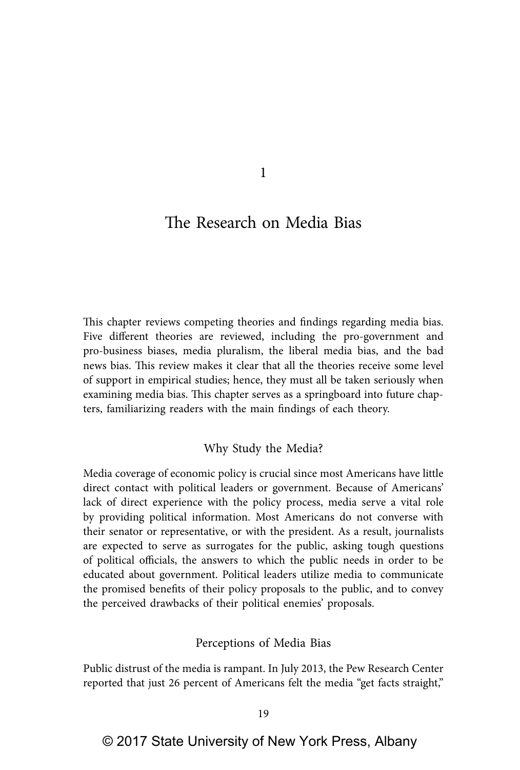1

# The Research on Media Bias

This chapter reviews competing theories and findings regarding media bias. Five different theories are reviewed, including the pro-government and pro-business biases, media pluralism, the liberal media bias, and the bad news bias. This review makes it clear that all the theories receive some level of support in empirical studies; hence, they must all be taken seriously when examining media bias. This chapter serves as a springboard into future chapters, familiarizing readers with the main findings of each theory.

## Why Study the Media?

Media coverage of economic policy is crucial since most Americans have little direct contact with political leaders or government. Because of Americans' lack of direct experience with the policy process, media serve a vital role by providing political information. Most Americans do not converse with their senator or representative, or with the president. As a result, journalists are expected to serve as surrogates for the public, asking tough questions of political officials, the answers to which the public needs in order to be educated about government. Political leaders utilize media to communicate the promised benefits of their policy proposals to the public, and to convey the perceived drawbacks of their political enemies' proposals.

#### Perceptions of Media Bias

Public distrust of the media is rampant. In July 2013, the Pew Research Center reported that just 26 percent of Americans felt the media "get facts straight,"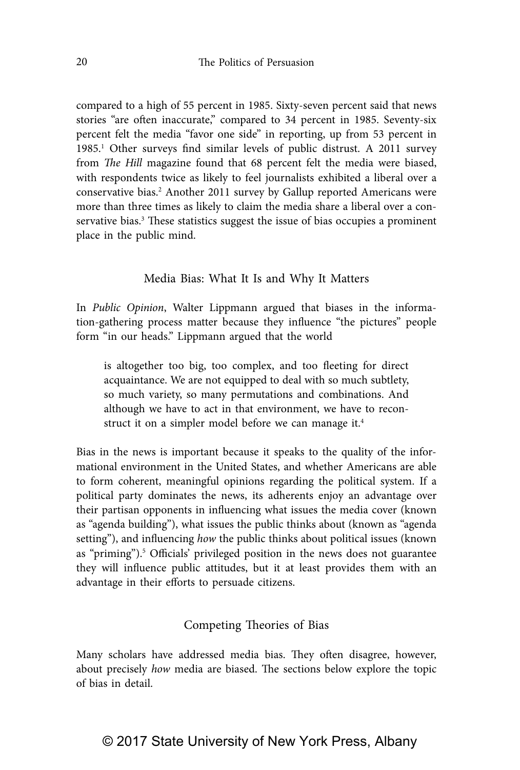compared to a high of 55 percent in 1985. Sixty-seven percent said that news stories "are often inaccurate," compared to 34 percent in 1985. Seventy-six percent felt the media "favor one side" in reporting, up from 53 percent in 1985.<sup>1</sup> Other surveys find similar levels of public distrust. A 2011 survey from *The Hill* magazine found that 68 percent felt the media were biased, with respondents twice as likely to feel journalists exhibited a liberal over a conservative bias.<sup>2</sup> Another 2011 survey by Gallup reported Americans were more than three times as likely to claim the media share a liberal over a conservative bias.<sup>3</sup> These statistics suggest the issue of bias occupies a prominent place in the public mind.

### Media Bias: What It Is and Why It Matters

In *Public Opinion*, Walter Lippmann argued that biases in the information-gathering process matter because they influence "the pictures" people form "in our heads." Lippmann argued that the world

is altogether too big, too complex, and too fleeting for direct acquaintance. We are not equipped to deal with so much subtlety, so much variety, so many permutations and combinations. And although we have to act in that environment, we have to reconstruct it on a simpler model before we can manage it.<sup>4</sup>

Bias in the news is important because it speaks to the quality of the informational environment in the United States, and whether Americans are able to form coherent, meaningful opinions regarding the political system. If a political party dominates the news, its adherents enjoy an advantage over their partisan opponents in influencing what issues the media cover (known as "agenda building"), what issues the public thinks about (known as "agenda setting"), and influencing *how* the public thinks about political issues (known as "priming").<sup>5</sup> Officials' privileged position in the news does not guarantee they will influence public attitudes, but it at least provides them with an advantage in their efforts to persuade citizens.

## Competing Theories of Bias

Many scholars have addressed media bias. They often disagree, however, about precisely *how* media are biased. The sections below explore the topic of bias in detail.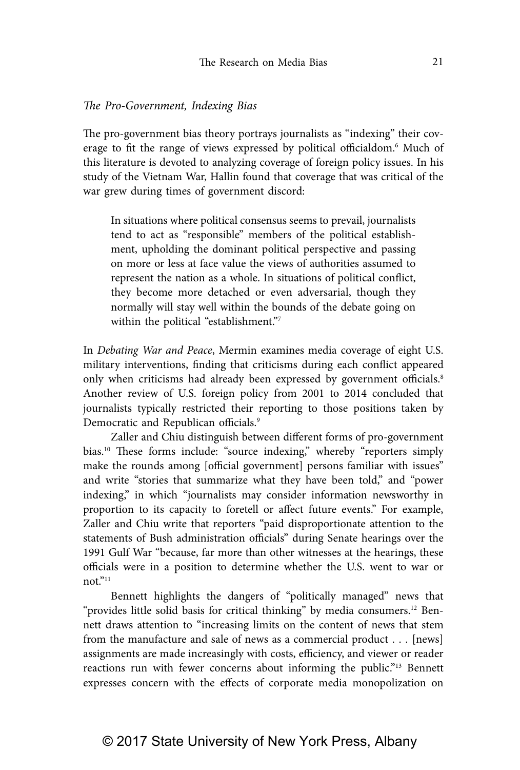### *The Pro-Government, Indexing Bias*

The pro-government bias theory portrays journalists as "indexing" their coverage to fit the range of views expressed by political officialdom.<sup>6</sup> Much of this literature is devoted to analyzing coverage of foreign policy issues. In his study of the Vietnam War, Hallin found that coverage that was critical of the war grew during times of government discord:

In situations where political consensus seems to prevail, journalists tend to act as "responsible" members of the political establishment, upholding the dominant political perspective and passing on more or less at face value the views of authorities assumed to represent the nation as a whole. In situations of political conflict, they become more detached or even adversarial, though they normally will stay well within the bounds of the debate going on within the political "establishment."7

In *Debating War and Peace*, Mermin examines media coverage of eight U.S. military interventions, finding that criticisms during each conflict appeared only when criticisms had already been expressed by government officials.<sup>8</sup> Another review of U.S. foreign policy from 2001 to 2014 concluded that journalists typically restricted their reporting to those positions taken by Democratic and Republican officials.<sup>9</sup>

Zaller and Chiu distinguish between different forms of pro-government bias.<sup>10</sup> These forms include: "source indexing," whereby "reporters simply make the rounds among [official government] persons familiar with issues" and write "stories that summarize what they have been told," and "power indexing," in which "journalists may consider information newsworthy in proportion to its capacity to foretell or affect future events." For example, Zaller and Chiu write that reporters "paid disproportionate attention to the statements of Bush administration officials" during Senate hearings over the 1991 Gulf War "because, far more than other witnesses at the hearings, these officials were in a position to determine whether the U.S. went to war or not."11

Bennett highlights the dangers of "politically managed" news that "provides little solid basis for critical thinking" by media consumers.12 Bennett draws attention to "increasing limits on the content of news that stem from the manufacture and sale of news as a commercial product . . . [news] assignments are made increasingly with costs, efficiency, and viewer or reader reactions run with fewer concerns about informing the public."<sup>13</sup> Bennett expresses concern with the effects of corporate media monopolization on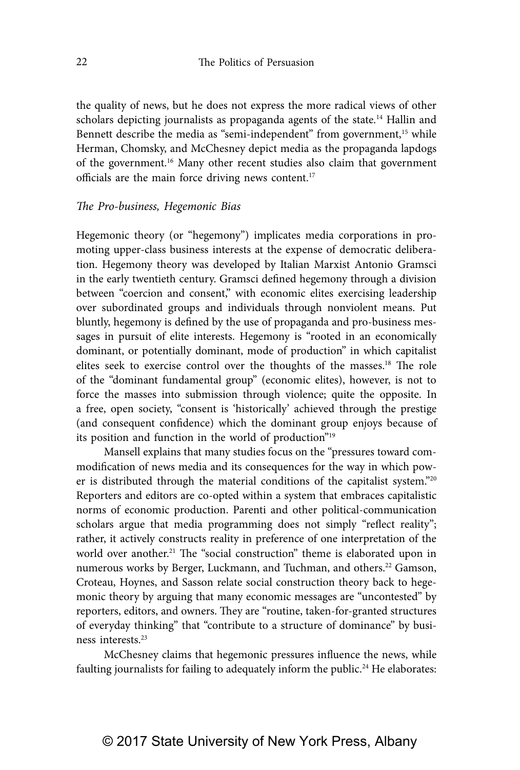the quality of news, but he does not express the more radical views of other scholars depicting journalists as propaganda agents of the state.<sup>14</sup> Hallin and Bennett describe the media as "semi-independent" from government,<sup>15</sup> while Herman, Chomsky, and McChesney depict media as the propaganda lapdogs of the government.16 Many other recent studies also claim that government officials are the main force driving news content.17

### *The Pro-business, Hegemonic Bias*

Hegemonic theory (or "hegemony") implicates media corporations in promoting upper-class business interests at the expense of democratic deliberation. Hegemony theory was developed by Italian Marxist Antonio Gramsci in the early twentieth century. Gramsci defined hegemony through a division between "coercion and consent," with economic elites exercising leadership over subordinated groups and individuals through nonviolent means. Put bluntly, hegemony is defined by the use of propaganda and pro-business messages in pursuit of elite interests. Hegemony is "rooted in an economically dominant, or potentially dominant, mode of production" in which capitalist elites seek to exercise control over the thoughts of the masses.18 The role of the "dominant fundamental group" (economic elites), however, is not to force the masses into submission through violence; quite the opposite. In a free, open society, "consent is 'historically' achieved through the prestige (and consequent confidence) which the dominant group enjoys because of its position and function in the world of production"19

Mansell explains that many studies focus on the "pressures toward commodification of news media and its consequences for the way in which power is distributed through the material conditions of the capitalist system."20 Reporters and editors are co-opted within a system that embraces capitalistic norms of economic production. Parenti and other political-communication scholars argue that media programming does not simply "reflect reality"; rather, it actively constructs reality in preference of one interpretation of the world over another.<sup>21</sup> The "social construction" theme is elaborated upon in numerous works by Berger, Luckmann, and Tuchman, and others.<sup>22</sup> Gamson, Croteau, Hoynes, and Sasson relate social construction theory back to hegemonic theory by arguing that many economic messages are "uncontested" by reporters, editors, and owners. They are "routine, taken-for-granted structures of everyday thinking" that "contribute to a structure of dominance" by business interests<sup>23</sup>

McChesney claims that hegemonic pressures influence the news, while faulting journalists for failing to adequately inform the public.<sup>24</sup> He elaborates: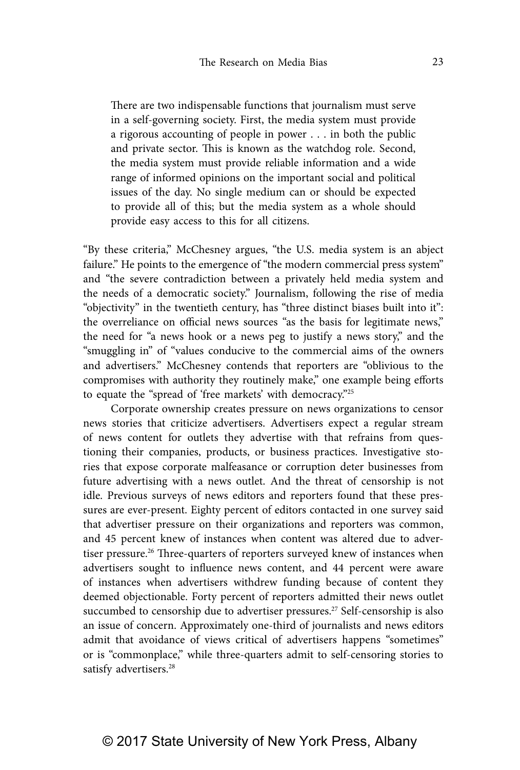There are two indispensable functions that journalism must serve in a self-governing society. First, the media system must provide a rigorous accounting of people in power . . . in both the public and private sector. This is known as the watchdog role. Second, the media system must provide reliable information and a wide range of informed opinions on the important social and political issues of the day. No single medium can or should be expected to provide all of this; but the media system as a whole should provide easy access to this for all citizens.

"By these criteria," McChesney argues, "the U.S. media system is an abject failure." He points to the emergence of "the modern commercial press system" and "the severe contradiction between a privately held media system and the needs of a democratic society." Journalism, following the rise of media "objectivity" in the twentieth century, has "three distinct biases built into it": the overreliance on official news sources "as the basis for legitimate news," the need for "a news hook or a news peg to justify a news story," and the "smuggling in" of "values conducive to the commercial aims of the owners and advertisers." McChesney contends that reporters are "oblivious to the compromises with authority they routinely make," one example being efforts to equate the "spread of 'free markets' with democracy."25

Corporate ownership creates pressure on news organizations to censor news stories that criticize advertisers. Advertisers expect a regular stream of news content for outlets they advertise with that refrains from questioning their companies, products, or business practices. Investigative stories that expose corporate malfeasance or corruption deter businesses from future advertising with a news outlet. And the threat of censorship is not idle. Previous surveys of news editors and reporters found that these pressures are ever-present. Eighty percent of editors contacted in one survey said that advertiser pressure on their organizations and reporters was common, and 45 percent knew of instances when content was altered due to advertiser pressure.<sup>26</sup> Three-quarters of reporters surveyed knew of instances when advertisers sought to influence news content, and 44 percent were aware of instances when advertisers withdrew funding because of content they deemed objectionable. Forty percent of reporters admitted their news outlet succumbed to censorship due to advertiser pressures.<sup>27</sup> Self-censorship is also an issue of concern. Approximately one-third of journalists and news editors admit that avoidance of views critical of advertisers happens "sometimes" or is "commonplace," while three-quarters admit to self-censoring stories to satisfy advertisers.<sup>28</sup>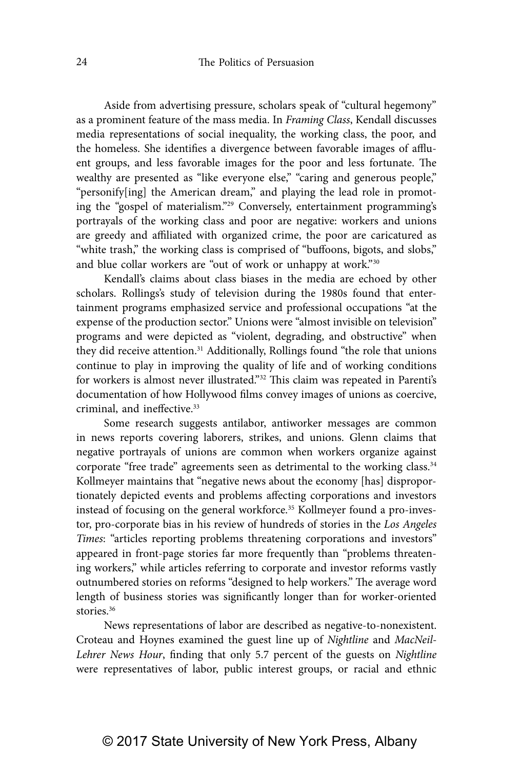Aside from advertising pressure, scholars speak of "cultural hegemony" as a prominent feature of the mass media. In *Framing Class*, Kendall discusses media representations of social inequality, the working class, the poor, and the homeless. She identifies a divergence between favorable images of affluent groups, and less favorable images for the poor and less fortunate. The wealthy are presented as "like everyone else," "caring and generous people," "personify[ing] the American dream," and playing the lead role in promoting the "gospel of materialism."29 Conversely, entertainment programming's portrayals of the working class and poor are negative: workers and unions are greedy and affiliated with organized crime, the poor are caricatured as "white trash," the working class is comprised of "buffoons, bigots, and slobs," and blue collar workers are "out of work or unhappy at work."30

Kendall's claims about class biases in the media are echoed by other scholars. Rollings's study of television during the 1980s found that entertainment programs emphasized service and professional occupations "at the expense of the production sector." Unions were "almost invisible on television" programs and were depicted as "violent, degrading, and obstructive" when they did receive attention.<sup>31</sup> Additionally, Rollings found "the role that unions" continue to play in improving the quality of life and of working conditions for workers is almost never illustrated."<sup>32</sup> This claim was repeated in Parenti's documentation of how Hollywood films convey images of unions as coercive, criminal, and ineffective.33

Some research suggests antilabor, antiworker messages are common in news reports covering laborers, strikes, and unions. Glenn claims that negative portrayals of unions are common when workers organize against corporate "free trade" agreements seen as detrimental to the working class.<sup>34</sup> Kollmeyer maintains that "negative news about the economy [has] disproportionately depicted events and problems affecting corporations and investors instead of focusing on the general workforce.<sup>35</sup> Kollmeyer found a pro-investor, pro-corporate bias in his review of hundreds of stories in the *Los Angeles Times*: "articles reporting problems threatening corporations and investors" appeared in front-page stories far more frequently than "problems threatening workers," while articles referring to corporate and investor reforms vastly outnumbered stories on reforms "designed to help workers." The average word length of business stories was significantly longer than for worker-oriented stories.<sup>36</sup>

News representations of labor are described as negative-to-nonexistent. Croteau and Hoynes examined the guest line up of *Nightline* and *MacNeil-Lehrer News Hour*, finding that only 5.7 percent of the guests on *Nightline*  were representatives of labor, public interest groups, or racial and ethnic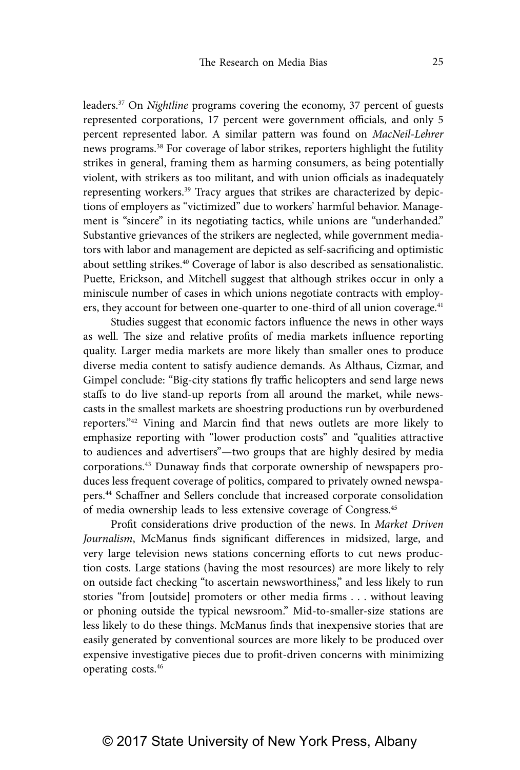leaders.37 On *Nightline* programs covering the economy, 37 percent of guests represented corporations, 17 percent were government officials, and only 5 percent represented labor. A similar pattern was found on *MacNeil-Lehrer* news programs.38 For coverage of labor strikes, reporters highlight the futility strikes in general, framing them as harming consumers, as being potentially violent, with strikers as too militant, and with union officials as inadequately representing workers.39 Tracy argues that strikes are characterized by depictions of employers as "victimized" due to workers' harmful behavior. Management is "sincere" in its negotiating tactics, while unions are "underhanded." Substantive grievances of the strikers are neglected, while government mediators with labor and management are depicted as self-sacrificing and optimistic about settling strikes.<sup>40</sup> Coverage of labor is also described as sensationalistic. Puette, Erickson, and Mitchell suggest that although strikes occur in only a miniscule number of cases in which unions negotiate contracts with employers, they account for between one-quarter to one-third of all union coverage.<sup>41</sup>

Studies suggest that economic factors influence the news in other ways as well. The size and relative profits of media markets influence reporting quality. Larger media markets are more likely than smaller ones to produce diverse media content to satisfy audience demands. As Althaus, Cizmar, and Gimpel conclude: "Big-city stations fly traffic helicopters and send large news staffs to do live stand-up reports from all around the market, while newscasts in the smallest markets are shoestring productions run by overburdened reporters."42 Vining and Marcin find that news outlets are more likely to emphasize reporting with "lower production costs" and "qualities attractive to audiences and advertisers"—two groups that are highly desired by media corporations.43 Dunaway finds that corporate ownership of newspapers produces less frequent coverage of politics, compared to privately owned newspapers.44 Schaffner and Sellers conclude that increased corporate consolidation of media ownership leads to less extensive coverage of Congress.45

Profit considerations drive production of the news. In *Market Driven Journalism*, McManus finds significant differences in midsized, large, and very large television news stations concerning efforts to cut news production costs. Large stations (having the most resources) are more likely to rely on outside fact checking "to ascertain newsworthiness," and less likely to run stories "from [outside] promoters or other media firms . . . without leaving or phoning outside the typical newsroom." Mid-to-smaller-size stations are less likely to do these things. McManus finds that inexpensive stories that are easily generated by conventional sources are more likely to be produced over expensive investigative pieces due to profit-driven concerns with minimizing operating costs.46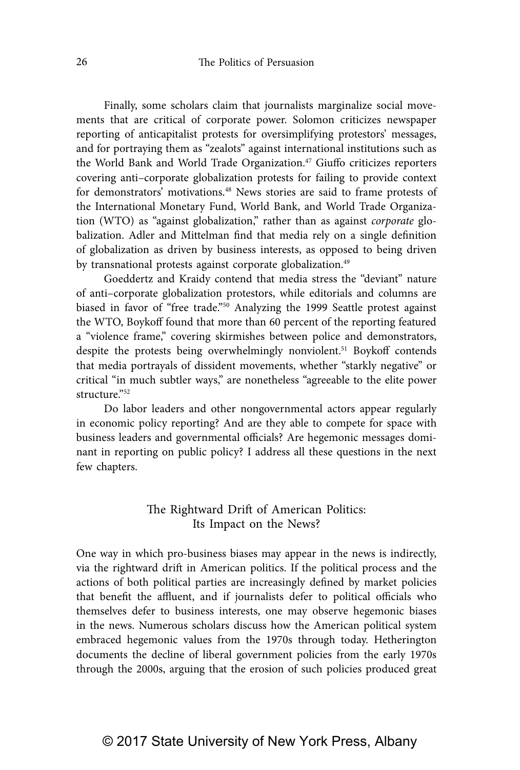Finally, some scholars claim that journalists marginalize social movements that are critical of corporate power. Solomon criticizes newspaper reporting of anticapitalist protests for oversimplifying protestors' messages, and for portraying them as "zealots" against international institutions such as the World Bank and World Trade Organization.<sup>47</sup> Giuffo criticizes reporters covering anti–corporate globalization protests for failing to provide context for demonstrators' motivations.48 News stories are said to frame protests of the International Monetary Fund, World Bank, and World Trade Organization (WTO) as "against globalization," rather than as against *corporate* globalization. Adler and Mittelman find that media rely on a single definition of globalization as driven by business interests, as opposed to being driven by transnational protests against corporate globalization.<sup>49</sup>

Goeddertz and Kraidy contend that media stress the "deviant" nature of anti–corporate globalization protestors, while editorials and columns are biased in favor of "free trade."<sup>50</sup> Analyzing the 1999 Seattle protest against the WTO, Boykoff found that more than 60 percent of the reporting featured a "violence frame," covering skirmishes between police and demonstrators, despite the protests being overwhelmingly nonviolent.<sup>51</sup> Boykoff contends that media portrayals of dissident movements, whether "starkly negative" or critical "in much subtler ways," are nonetheless "agreeable to the elite power structure."52

Do labor leaders and other nongovernmental actors appear regularly in economic policy reporting? And are they able to compete for space with business leaders and governmental officials? Are hegemonic messages dominant in reporting on public policy? I address all these questions in the next few chapters.

## The Rightward Drift of American Politics: Its Impact on the News?

One way in which pro-business biases may appear in the news is indirectly, via the rightward drift in American politics. If the political process and the actions of both political parties are increasingly defined by market policies that benefit the affluent, and if journalists defer to political officials who themselves defer to business interests, one may observe hegemonic biases in the news. Numerous scholars discuss how the American political system embraced hegemonic values from the 1970s through today. Hetherington documents the decline of liberal government policies from the early 1970s through the 2000s, arguing that the erosion of such policies produced great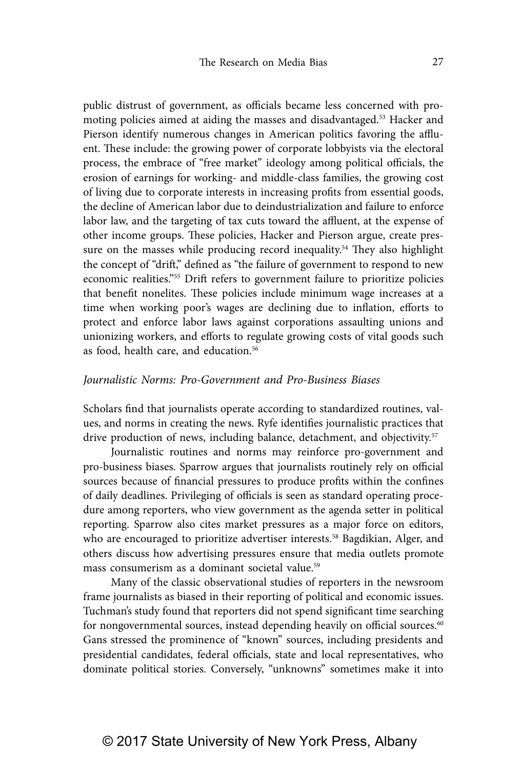public distrust of government, as officials became less concerned with promoting policies aimed at aiding the masses and disadvantaged.<sup>53</sup> Hacker and Pierson identify numerous changes in American politics favoring the affluent. These include: the growing power of corporate lobbyists via the electoral process, the embrace of "free market" ideology among political officials, the erosion of earnings for working- and middle-class families, the growing cost of living due to corporate interests in increasing profits from essential goods, the decline of American labor due to deindustrialization and failure to enforce labor law, and the targeting of tax cuts toward the affluent, at the expense of other income groups. These policies, Hacker and Pierson argue, create pressure on the masses while producing record inequality.<sup>54</sup> They also highlight the concept of "drift," defined as "the failure of government to respond to new economic realities."55 Drift refers to government failure to prioritize policies that benefit nonelites. These policies include minimum wage increases at a time when working poor's wages are declining due to inflation, efforts to protect and enforce labor laws against corporations assaulting unions and unionizing workers, and efforts to regulate growing costs of vital goods such as food, health care, and education.<sup>56</sup>

#### *Journalistic Norms: Pro-Government and Pro-Business Biases*

Scholars find that journalists operate according to standardized routines, values, and norms in creating the news. Ryfe identifies journalistic practices that drive production of news, including balance, detachment, and objectivity.<sup>57</sup>

Journalistic routines and norms may reinforce pro-government and pro-business biases. Sparrow argues that journalists routinely rely on official sources because of financial pressures to produce profits within the confines of daily deadlines. Privileging of officials is seen as standard operating procedure among reporters, who view government as the agenda setter in political reporting. Sparrow also cites market pressures as a major force on editors, who are encouraged to prioritize advertiser interests.<sup>58</sup> Bagdikian, Alger, and others discuss how advertising pressures ensure that media outlets promote mass consumerism as a dominant societal value.<sup>59</sup>

Many of the classic observational studies of reporters in the newsroom frame journalists as biased in their reporting of political and economic issues. Tuchman's study found that reporters did not spend significant time searching for nongovernmental sources, instead depending heavily on official sources.<sup>60</sup> Gans stressed the prominence of "known" sources, including presidents and presidential candidates, federal officials, state and local representatives, who dominate political stories. Conversely, "unknowns" sometimes make it into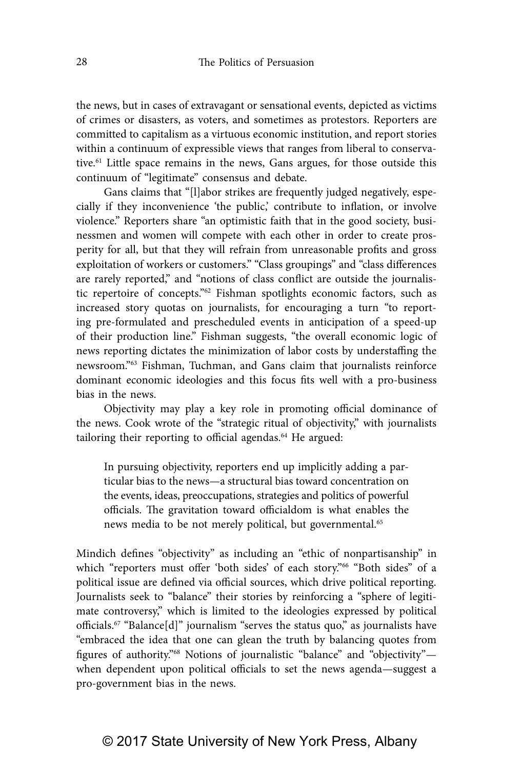the news, but in cases of extravagant or sensational events, depicted as victims of crimes or disasters, as voters, and sometimes as protestors. Reporters are committed to capitalism as a virtuous economic institution, and report stories within a continuum of expressible views that ranges from liberal to conservative.<sup>61</sup> Little space remains in the news, Gans argues, for those outside this continuum of "legitimate" consensus and debate.

Gans claims that "[l]abor strikes are frequently judged negatively, especially if they inconvenience 'the public,' contribute to inflation, or involve violence." Reporters share "an optimistic faith that in the good society, businessmen and women will compete with each other in order to create prosperity for all, but that they will refrain from unreasonable profits and gross exploitation of workers or customers." "Class groupings" and "class differences are rarely reported," and "notions of class conflict are outside the journalistic repertoire of concepts."62 Fishman spotlights economic factors, such as increased story quotas on journalists, for encouraging a turn "to reporting pre-formulated and prescheduled events in anticipation of a speed-up of their production line." Fishman suggests, "the overall economic logic of news reporting dictates the minimization of labor costs by understaffing the newsroom."63 Fishman, Tuchman, and Gans claim that journalists reinforce dominant economic ideologies and this focus fits well with a pro-business bias in the news.

Objectivity may play a key role in promoting official dominance of the news. Cook wrote of the "strategic ritual of objectivity," with journalists tailoring their reporting to official agendas.<sup>64</sup> He argued:

In pursuing objectivity, reporters end up implicitly adding a particular bias to the news—a structural bias toward concentration on the events, ideas, preoccupations, strategies and politics of powerful officials. The gravitation toward officialdom is what enables the news media to be not merely political, but governmental.<sup>65</sup>

Mindich defines "objectivity" as including an "ethic of nonpartisanship" in which "reporters must offer 'both sides' of each story."<sup>66</sup> "Both sides" of a political issue are defined via official sources, which drive political reporting. Journalists seek to "balance" their stories by reinforcing a "sphere of legitimate controversy," which is limited to the ideologies expressed by political officials.67 "Balance[d]" journalism "serves the status quo," as journalists have "embraced the idea that one can glean the truth by balancing quotes from figures of authority."68 Notions of journalistic "balance" and "objectivity" when dependent upon political officials to set the news agenda—suggest a pro-government bias in the news.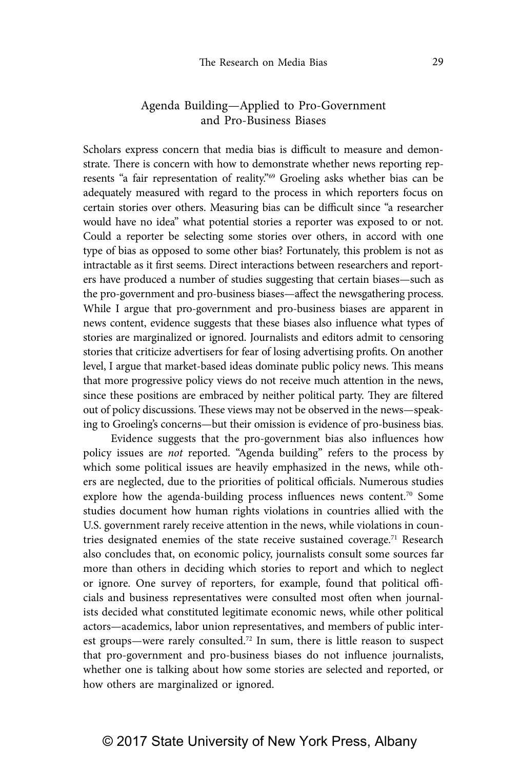# Agenda Building—Applied to Pro-Government and Pro-Business Biases

Scholars express concern that media bias is difficult to measure and demonstrate. There is concern with how to demonstrate whether news reporting represents "a fair representation of reality."69 Groeling asks whether bias can be adequately measured with regard to the process in which reporters focus on certain stories over others. Measuring bias can be difficult since "a researcher would have no idea" what potential stories a reporter was exposed to or not. Could a reporter be selecting some stories over others, in accord with one type of bias as opposed to some other bias? Fortunately, this problem is not as intractable as it first seems. Direct interactions between researchers and reporters have produced a number of studies suggesting that certain biases—such as the pro-government and pro-business biases—affect the newsgathering process. While I argue that pro-government and pro-business biases are apparent in news content, evidence suggests that these biases also influence what types of stories are marginalized or ignored. Journalists and editors admit to censoring stories that criticize advertisers for fear of losing advertising profits. On another level, I argue that market-based ideas dominate public policy news. This means that more progressive policy views do not receive much attention in the news, since these positions are embraced by neither political party. They are filtered out of policy discussions. These views may not be observed in the news—speaking to Groeling's concerns—but their omission is evidence of pro-business bias.

Evidence suggests that the pro-government bias also influences how policy issues are *not* reported. "Agenda building" refers to the process by which some political issues are heavily emphasized in the news, while others are neglected, due to the priorities of political officials. Numerous studies explore how the agenda-building process influences news content.<sup>70</sup> Some studies document how human rights violations in countries allied with the U.S. government rarely receive attention in the news, while violations in countries designated enemies of the state receive sustained coverage.<sup>71</sup> Research also concludes that, on economic policy, journalists consult some sources far more than others in deciding which stories to report and which to neglect or ignore. One survey of reporters, for example, found that political officials and business representatives were consulted most often when journalists decided what constituted legitimate economic news, while other political actors—academics, labor union representatives, and members of public interest groups—were rarely consulted.<sup>72</sup> In sum, there is little reason to suspect that pro-government and pro-business biases do not influence journalists, whether one is talking about how some stories are selected and reported, or how others are marginalized or ignored.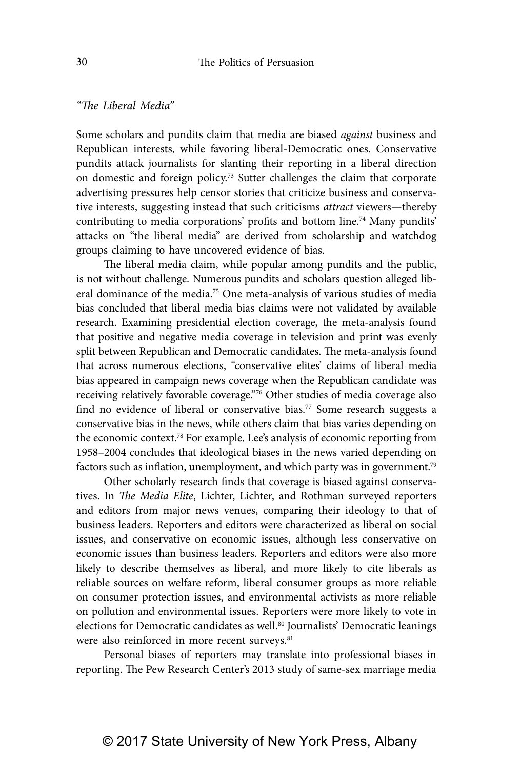### *"The Liberal Media"*

Some scholars and pundits claim that media are biased *against* business and Republican interests, while favoring liberal-Democratic ones. Conservative pundits attack journalists for slanting their reporting in a liberal direction on domestic and foreign policy.73 Sutter challenges the claim that corporate advertising pressures help censor stories that criticize business and conservative interests, suggesting instead that such criticisms *attract* viewers—thereby contributing to media corporations' profits and bottom line.74 Many pundits' attacks on "the liberal media" are derived from scholarship and watchdog groups claiming to have uncovered evidence of bias.

The liberal media claim, while popular among pundits and the public, is not without challenge. Numerous pundits and scholars question alleged liberal dominance of the media.75 One meta-analysis of various studies of media bias concluded that liberal media bias claims were not validated by available research. Examining presidential election coverage, the meta-analysis found that positive and negative media coverage in television and print was evenly split between Republican and Democratic candidates. The meta-analysis found that across numerous elections, "conservative elites' claims of liberal media bias appeared in campaign news coverage when the Republican candidate was receiving relatively favorable coverage."76 Other studies of media coverage also find no evidence of liberal or conservative bias.<sup>77</sup> Some research suggests a conservative bias in the news, while others claim that bias varies depending on the economic context.78 For example, Lee's analysis of economic reporting from 1958–2004 concludes that ideological biases in the news varied depending on factors such as inflation, unemployment, and which party was in government.<sup>79</sup>

Other scholarly research finds that coverage is biased against conservatives. In *The Media Elite*, Lichter, Lichter, and Rothman surveyed reporters and editors from major news venues, comparing their ideology to that of business leaders. Reporters and editors were characterized as liberal on social issues, and conservative on economic issues, although less conservative on economic issues than business leaders. Reporters and editors were also more likely to describe themselves as liberal, and more likely to cite liberals as reliable sources on welfare reform, liberal consumer groups as more reliable on consumer protection issues, and environmental activists as more reliable on pollution and environmental issues. Reporters were more likely to vote in elections for Democratic candidates as well.<sup>80</sup> Journalists' Democratic leanings were also reinforced in more recent surveys.<sup>81</sup>

Personal biases of reporters may translate into professional biases in reporting. The Pew Research Center's 2013 study of same-sex marriage media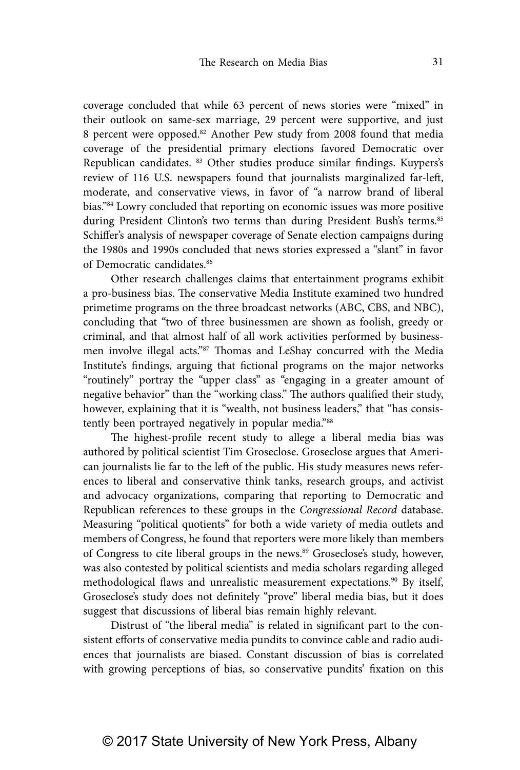coverage concluded that while 63 percent of news stories were "mixed" in their outlook on same-sex marriage, 29 percent were supportive, and just 8 percent were opposed.<sup>82</sup> Another Pew study from 2008 found that media coverage of the presidential primary elections favored Democratic over Republican candidates. 83 Other studies produce similar findings. Kuypers's review of 116 U.S. newspapers found that journalists marginalized far-left, moderate, and conservative views, in favor of "a narrow brand of liberal bias."84 Lowry concluded that reporting on economic issues was more positive during President Clinton's two terms than during President Bush's terms.<sup>85</sup> Schiffer's analysis of newspaper coverage of Senate election campaigns during the 1980s and 1990s concluded that news stories expressed a "slant" in favor of Democratic candidates.<sup>86</sup>

Other research challenges claims that entertainment programs exhibit a pro-business bias. The conservative Media Institute examined two hundred primetime programs on the three broadcast networks (ABC, CBS, and NBC), concluding that "two of three businessmen are shown as foolish, greedy or criminal, and that almost half of all work activities performed by businessmen involve illegal acts."87 Thomas and LeShay concurred with the Media Institute's findings, arguing that fictional programs on the major networks "routinely" portray the "upper class" as "engaging in a greater amount of negative behavior" than the "working class." The authors qualified their study, however, explaining that it is "wealth, not business leaders," that "has consistently been portrayed negatively in popular media."88

The highest-profile recent study to allege a liberal media bias was authored by political scientist Tim Groseclose. Groseclose argues that American journalists lie far to the left of the public. His study measures news references to liberal and conservative think tanks, research groups, and activist and advocacy organizations, comparing that reporting to Democratic and Republican references to these groups in the *Congressional Record* database. Measuring "political quotients" for both a wide variety of media outlets and members of Congress, he found that reporters were more likely than members of Congress to cite liberal groups in the news.<sup>89</sup> Groseclose's study, however, was also contested by political scientists and media scholars regarding alleged methodological flaws and unrealistic measurement expectations.<sup>90</sup> By itself, Groseclose's study does not definitely "prove" liberal media bias, but it does suggest that discussions of liberal bias remain highly relevant.

Distrust of "the liberal media" is related in significant part to the consistent efforts of conservative media pundits to convince cable and radio audiences that journalists are biased. Constant discussion of bias is correlated with growing perceptions of bias, so conservative pundits' fixation on this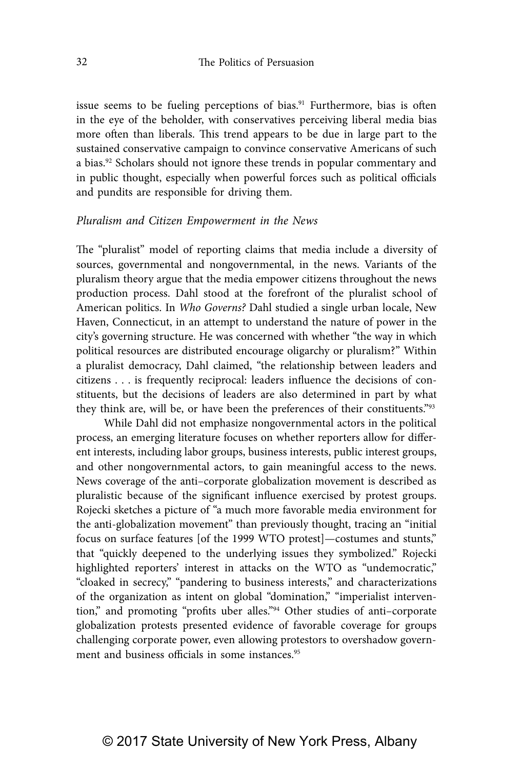issue seems to be fueling perceptions of bias.<sup>91</sup> Furthermore, bias is often in the eye of the beholder, with conservatives perceiving liberal media bias more often than liberals. This trend appears to be due in large part to the sustained conservative campaign to convince conservative Americans of such a bias.<sup>92</sup> Scholars should not ignore these trends in popular commentary and in public thought, especially when powerful forces such as political officials and pundits are responsible for driving them.

#### *Pluralism and Citizen Empowerment in the News*

The "pluralist" model of reporting claims that media include a diversity of sources, governmental and nongovernmental, in the news. Variants of the pluralism theory argue that the media empower citizens throughout the news production process. Dahl stood at the forefront of the pluralist school of American politics. In *Who Governs?* Dahl studied a single urban locale, New Haven, Connecticut, in an attempt to understand the nature of power in the city's governing structure. He was concerned with whether "the way in which political resources are distributed encourage oligarchy or pluralism?" Within a pluralist democracy, Dahl claimed, "the relationship between leaders and citizens . . . is frequently reciprocal: leaders influence the decisions of constituents, but the decisions of leaders are also determined in part by what they think are, will be, or have been the preferences of their constituents."93

While Dahl did not emphasize nongovernmental actors in the political process, an emerging literature focuses on whether reporters allow for different interests, including labor groups, business interests, public interest groups, and other nongovernmental actors, to gain meaningful access to the news. News coverage of the anti–corporate globalization movement is described as pluralistic because of the significant influence exercised by protest groups. Rojecki sketches a picture of "a much more favorable media environment for the anti-globalization movement" than previously thought, tracing an "initial focus on surface features [of the 1999 WTO protest]—costumes and stunts," that "quickly deepened to the underlying issues they symbolized." Rojecki highlighted reporters' interest in attacks on the WTO as "undemocratic," "cloaked in secrecy," "pandering to business interests," and characterizations of the organization as intent on global "domination," "imperialist intervention," and promoting "profits uber alles."<sup>94</sup> Other studies of anti-corporate globalization protests presented evidence of favorable coverage for groups challenging corporate power, even allowing protestors to overshadow government and business officials in some instances.<sup>95</sup>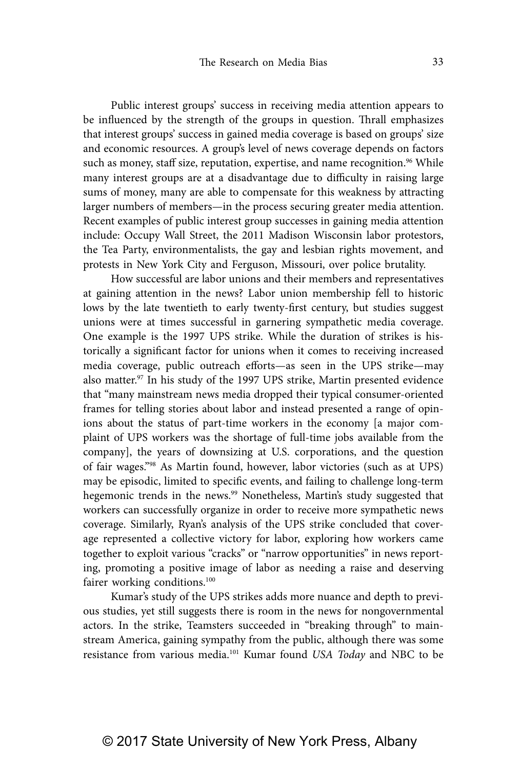Public interest groups' success in receiving media attention appears to be influenced by the strength of the groups in question. Thrall emphasizes that interest groups' success in gained media coverage is based on groups' size and economic resources. A group's level of news coverage depends on factors such as money, staff size, reputation, expertise, and name recognition.<sup>96</sup> While many interest groups are at a disadvantage due to difficulty in raising large sums of money, many are able to compensate for this weakness by attracting larger numbers of members—in the process securing greater media attention. Recent examples of public interest group successes in gaining media attention include: Occupy Wall Street, the 2011 Madison Wisconsin labor protestors, the Tea Party, environmentalists, the gay and lesbian rights movement, and protests in New York City and Ferguson, Missouri, over police brutality.

How successful are labor unions and their members and representatives at gaining attention in the news? Labor union membership fell to historic lows by the late twentieth to early twenty-first century, but studies suggest unions were at times successful in garnering sympathetic media coverage. One example is the 1997 UPS strike. While the duration of strikes is historically a significant factor for unions when it comes to receiving increased media coverage, public outreach efforts—as seen in the UPS strike—may also matter.<sup>97</sup> In his study of the 1997 UPS strike, Martin presented evidence that "many mainstream news media dropped their typical consumer-oriented frames for telling stories about labor and instead presented a range of opinions about the status of part-time workers in the economy [a major complaint of UPS workers was the shortage of full-time jobs available from the company], the years of downsizing at U.S. corporations, and the question of fair wages."98 As Martin found, however, labor victories (such as at UPS) may be episodic, limited to specific events, and failing to challenge long-term hegemonic trends in the news.<sup>99</sup> Nonetheless, Martin's study suggested that workers can successfully organize in order to receive more sympathetic news coverage. Similarly, Ryan's analysis of the UPS strike concluded that coverage represented a collective victory for labor, exploring how workers came together to exploit various "cracks" or "narrow opportunities" in news reporting, promoting a positive image of labor as needing a raise and deserving fairer working conditions.<sup>100</sup>

Kumar's study of the UPS strikes adds more nuance and depth to previous studies, yet still suggests there is room in the news for nongovernmental actors. In the strike, Teamsters succeeded in "breaking through" to mainstream America, gaining sympathy from the public, although there was some resistance from various media.101 Kumar found *USA Today* and NBC to be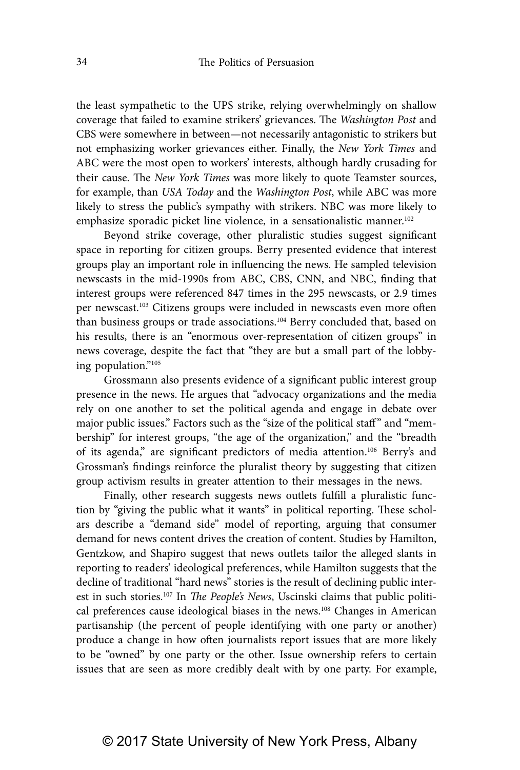the least sympathetic to the UPS strike, relying overwhelmingly on shallow coverage that failed to examine strikers' grievances. The *Washington Post* and CBS were somewhere in between—not necessarily antagonistic to strikers but not emphasizing worker grievances either. Finally, the *New York Times* and ABC were the most open to workers' interests, although hardly crusading for their cause. The *New York Times* was more likely to quote Teamster sources, for example, than *USA Today* and the *Washington Post*, while ABC was more likely to stress the public's sympathy with strikers. NBC was more likely to emphasize sporadic picket line violence, in a sensationalistic manner.<sup>102</sup>

Beyond strike coverage, other pluralistic studies suggest significant space in reporting for citizen groups. Berry presented evidence that interest groups play an important role in influencing the news. He sampled television newscasts in the mid-1990s from ABC, CBS, CNN, and NBC, finding that interest groups were referenced 847 times in the 295 newscasts, or 2.9 times per newscast.<sup>103</sup> Citizens groups were included in newscasts even more often than business groups or trade associations.104 Berry concluded that, based on his results, there is an "enormous over-representation of citizen groups" in news coverage, despite the fact that "they are but a small part of the lobbying population."105

Grossmann also presents evidence of a significant public interest group presence in the news. He argues that "advocacy organizations and the media rely on one another to set the political agenda and engage in debate over major public issues." Factors such as the "size of the political staff" and "membership" for interest groups, "the age of the organization," and the "breadth of its agenda," are significant predictors of media attention.106 Berry's and Grossman's findings reinforce the pluralist theory by suggesting that citizen group activism results in greater attention to their messages in the news.

Finally, other research suggests news outlets fulfill a pluralistic function by "giving the public what it wants" in political reporting. These scholars describe a "demand side" model of reporting, arguing that consumer demand for news content drives the creation of content. Studies by Hamilton, Gentzkow, and Shapiro suggest that news outlets tailor the alleged slants in reporting to readers' ideological preferences, while Hamilton suggests that the decline of traditional "hard news" stories is the result of declining public interest in such stories.107 In *The People's News*, Uscinski claims that public political preferences cause ideological biases in the news.<sup>108</sup> Changes in American partisanship (the percent of people identifying with one party or another) produce a change in how often journalists report issues that are more likely to be "owned" by one party or the other. Issue ownership refers to certain issues that are seen as more credibly dealt with by one party. For example,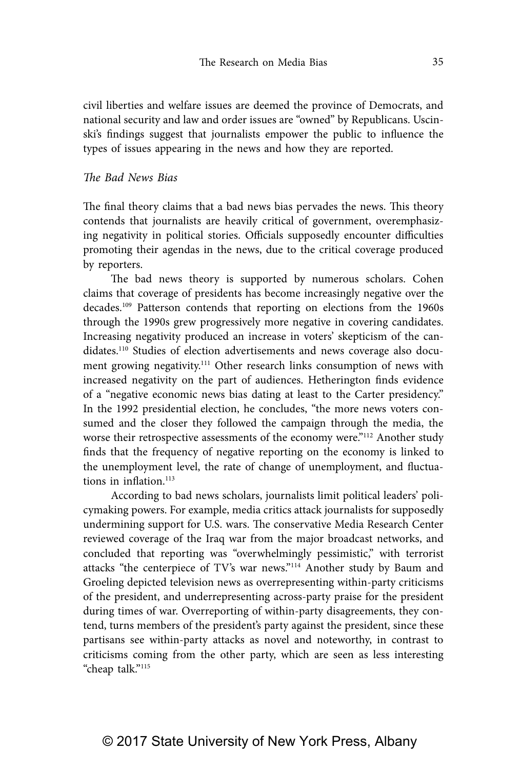civil liberties and welfare issues are deemed the province of Democrats, and national security and law and order issues are "owned" by Republicans. Uscinski's findings suggest that journalists empower the public to influence the types of issues appearing in the news and how they are reported.

### *The Bad News Bias*

The final theory claims that a bad news bias pervades the news. This theory contends that journalists are heavily critical of government, overemphasizing negativity in political stories. Officials supposedly encounter difficulties promoting their agendas in the news, due to the critical coverage produced by reporters.

The bad news theory is supported by numerous scholars. Cohen claims that coverage of presidents has become increasingly negative over the decades.<sup>109</sup> Patterson contends that reporting on elections from the 1960s through the 1990s grew progressively more negative in covering candidates. Increasing negativity produced an increase in voters' skepticism of the candidates.110 Studies of election advertisements and news coverage also document growing negativity.<sup>111</sup> Other research links consumption of news with increased negativity on the part of audiences. Hetherington finds evidence of a "negative economic news bias dating at least to the Carter presidency." In the 1992 presidential election, he concludes, "the more news voters consumed and the closer they followed the campaign through the media, the worse their retrospective assessments of the economy were."<sup>112</sup> Another study finds that the frequency of negative reporting on the economy is linked to the unemployment level, the rate of change of unemployment, and fluctuations in inflation.<sup>113</sup>

According to bad news scholars, journalists limit political leaders' policymaking powers. For example, media critics attack journalists for supposedly undermining support for U.S. wars. The conservative Media Research Center reviewed coverage of the Iraq war from the major broadcast networks, and concluded that reporting was "overwhelmingly pessimistic," with terrorist attacks "the centerpiece of TV's war news."114 Another study by Baum and Groeling depicted television news as overrepresenting within-party criticisms of the president, and underrepresenting across-party praise for the president during times of war. Overreporting of within-party disagreements, they contend, turns members of the president's party against the president, since these partisans see within-party attacks as novel and noteworthy, in contrast to criticisms coming from the other party, which are seen as less interesting "cheap talk."115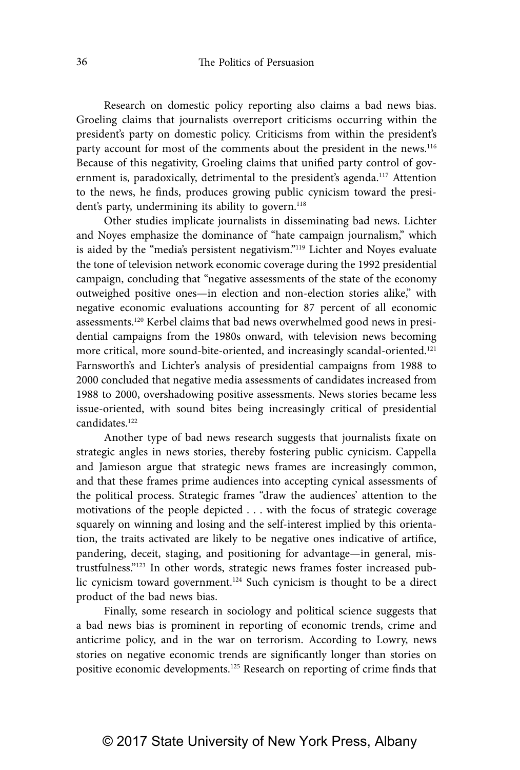Research on domestic policy reporting also claims a bad news bias. Groeling claims that journalists overreport criticisms occurring within the president's party on domestic policy. Criticisms from within the president's party account for most of the comments about the president in the news.<sup>116</sup> Because of this negativity, Groeling claims that unified party control of government is, paradoxically, detrimental to the president's agenda.<sup>117</sup> Attention to the news, he finds, produces growing public cynicism toward the president's party, undermining its ability to govern.<sup>118</sup>

Other studies implicate journalists in disseminating bad news. Lichter and Noyes emphasize the dominance of "hate campaign journalism," which is aided by the "media's persistent negativism."119 Lichter and Noyes evaluate the tone of television network economic coverage during the 1992 presidential campaign, concluding that "negative assessments of the state of the economy outweighed positive ones—in election and non-election stories alike," with negative economic evaluations accounting for 87 percent of all economic assessments.120 Kerbel claims that bad news overwhelmed good news in presidential campaigns from the 1980s onward, with television news becoming more critical, more sound-bite-oriented, and increasingly scandal-oriented.<sup>121</sup> Farnsworth's and Lichter's analysis of presidential campaigns from 1988 to 2000 concluded that negative media assessments of candidates increased from 1988 to 2000, overshadowing positive assessments. News stories became less issue-oriented, with sound bites being increasingly critical of presidential candidates.122

Another type of bad news research suggests that journalists fixate on strategic angles in news stories, thereby fostering public cynicism. Cappella and Jamieson argue that strategic news frames are increasingly common, and that these frames prime audiences into accepting cynical assessments of the political process. Strategic frames "draw the audiences' attention to the motivations of the people depicted . . . with the focus of strategic coverage squarely on winning and losing and the self-interest implied by this orientation, the traits activated are likely to be negative ones indicative of artifice, pandering, deceit, staging, and positioning for advantage—in general, mistrustfulness."123 In other words, strategic news frames foster increased public cynicism toward government.124 Such cynicism is thought to be a direct product of the bad news bias.

Finally, some research in sociology and political science suggests that a bad news bias is prominent in reporting of economic trends, crime and anticrime policy, and in the war on terrorism. According to Lowry, news stories on negative economic trends are significantly longer than stories on positive economic developments.125 Research on reporting of crime finds that